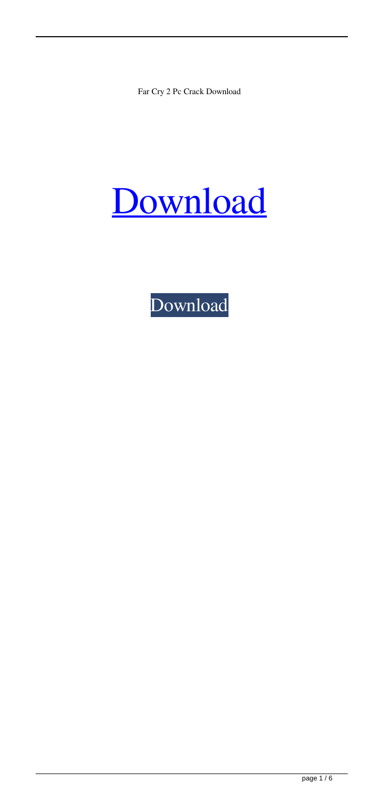Far Cry 2 Pc Crack Download

## [Download](http://evacdir.com/iloveyou/ZmFyIGNyeSAyIHBjIGNyYWNrIGRvd25sb2FkZmF/?fjords=horsemanship.hste.ZG93bmxvYWR8VFg2WkdwMmZId3hOalV5TnpRd09EWTJmSHd5TlRjMGZId29UU2tnY21WaFpDMWliRzluSUZ0R1lYTjBJRWRGVGww)

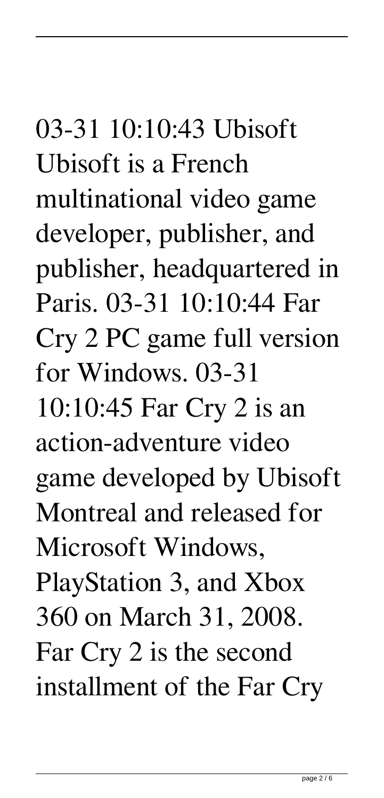# 03-31 10:10:43 Ubisoft Ubisoft is a French

multinational video game developer, publisher, and publisher, headquartered in Paris. 03-31 10:10:44 Far Cry 2 PC game full version for Windows. 03-31 10:10:45 Far Cry 2 is an action-adventure video game developed by Ubisoft Montreal and released for Microsoft Windows, PlayStation 3, and Xbox 360 on March 31, 2008. Far Cry 2 is the second installment of the Far Cry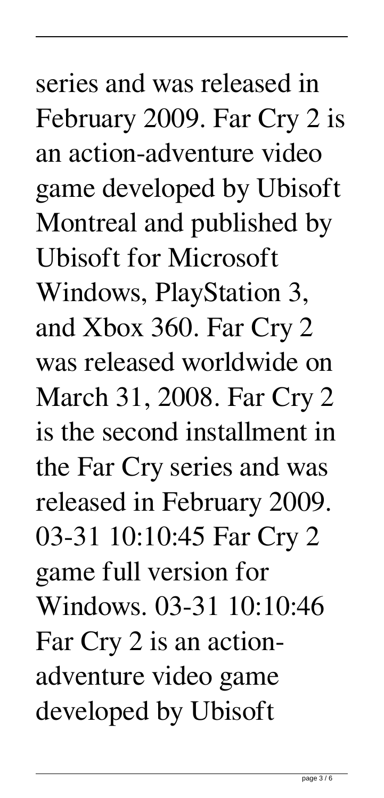### series and was released in February 2009. Far Cry 2 is an action-adventure video game developed by Ubisoft Montreal and published by Ubisoft for Microsoft Windows, PlayStation 3, and Xbox 360. Far Cry 2 was released worldwide on March 31, 2008. Far Cry 2 is the second installment in the Far Cry series and was released in February 2009. 03-31 10:10:45 Far Cry 2 game full version for Windows. 03-31 10:10:46 Far Cry 2 is an actionadventure video game developed by Ubisoft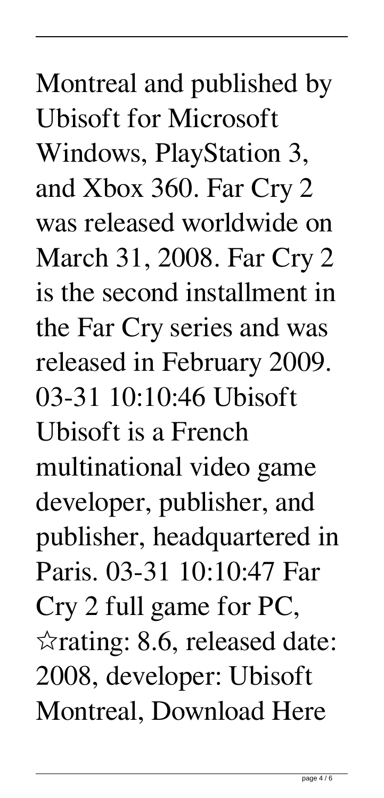Montreal and published by Ubisoft for Microsoft Windows, PlayStation 3, and Xbox 360. Far Cry 2 was released worldwide on March 31, 2008. Far Cry 2 is the second installment in the Far Cry series and was released in February 2009. 03-31 10:10:46 Ubisoft Ubisoft is a French multinational video game developer, publisher, and publisher, headquartered in Paris. 03-31 10:10:47 Far Cry 2 full game for PC, ☆rating: 8.6, released date: 2008, developer: Ubisoft Montreal, Download Here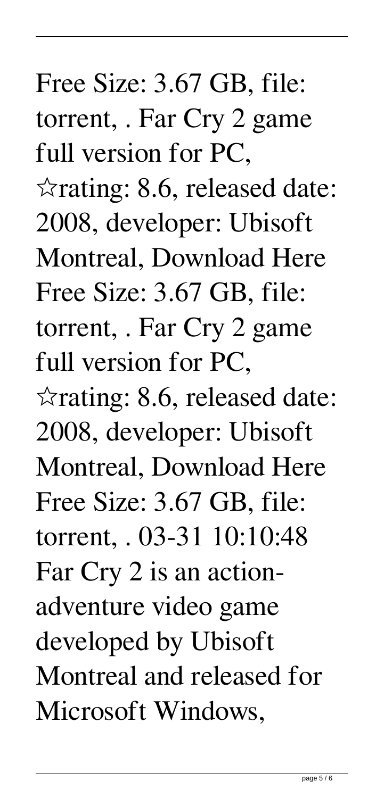### Free Size: 3.67 GB, file: torrent, . Far Cry 2 game full version for PC, ☆rating: 8.6, released date: 2008, developer: Ubisoft Montreal, Download Here Free Size: 3.67 GB, file: torrent, . Far Cry 2 game full version for PC, ☆rating: 8.6, released date: 2008, developer: Ubisoft Montreal, Download Here Free Size: 3.67 GB, file: torrent, . 03-31 10:10:48 Far Cry 2 is an actionadventure video game developed by Ubisoft Montreal and released for Microsoft Windows,